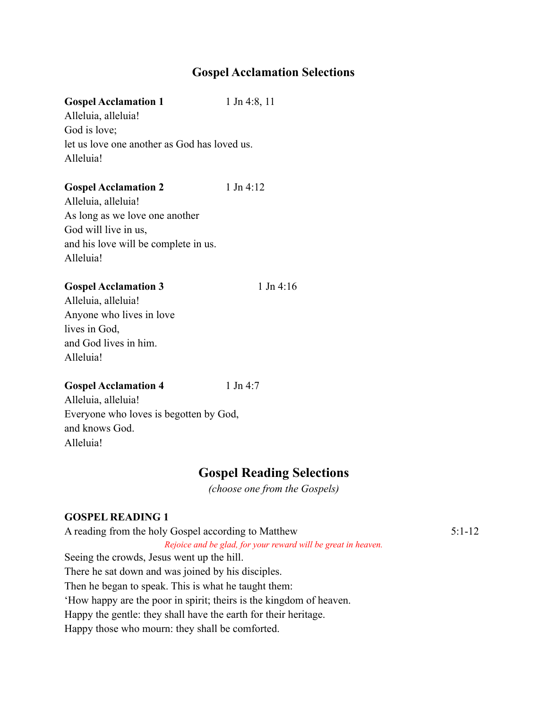# **Gospel Acclamation Selections**

### **Gospel Acclamation 1** 1 Jn 4:8, 11

Alleluia, alleluia! God is love; let us love one another as God has loved us. Alleluia!

### **Gospel Acclamation 2** 1 Jn 4:12

Alleluia, alleluia! As long as we love one another God will live in us, and his love will be complete in us. Alleluia!

### Gospel Acclamation 3 1 Jn 4:16

Alleluia, alleluia! Anyone who lives in love lives in God, and God lives in him. Alleluia!

### **Gospel Acclamation 4** 1 Jn 4:7

Alleluia, alleluia! Everyone who loves is begotten by God, and knows God. Alleluia!

# **Gospel Reading Selections**

*(choose one from the Gospels)*

# **GOSPEL READING 1**

A reading from the holy Gospel according to Matthew 5:1-12 *Rejoice and be glad, for your reward will be great in heaven.* Seeing the crowds, Jesus went up the hill. There he sat down and was joined by his disciples. Then he began to speak. This is what he taught them: 'How happy are the poor in spirit; theirs is the kingdom of heaven. Happy the gentle: they shall have the earth for their heritage. Happy those who mourn: they shall be comforted.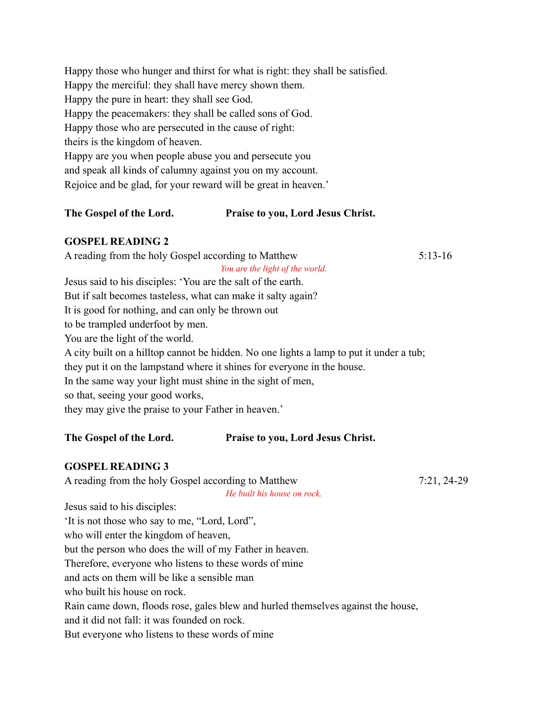Happy those who hunger and thirst for what is right: they shall be satisfied. Happy the merciful: they shall have mercy shown them. Happy the pure in heart: they shall see God. Happy the peacemakers: they shall be called sons of God. Happy those who are persecuted in the cause of right: theirs is the kingdom of heaven. Happy are you when people abuse you and persecute you and speak all kinds of calumny against you on my account. Rejoice and be glad, for your reward will be great in heaven.'

## **The Gospel of the Lord. Praise to you, Lord Jesus Christ.**

## **GOSPEL READING 2**

| A reading from the holy Gospel according to Matthew                                     | $5:13-16$ |
|-----------------------------------------------------------------------------------------|-----------|
| You are the light of the world.                                                         |           |
| Jesus said to his disciples: 'You are the salt of the earth.                            |           |
| But if salt becomes tasteless, what can make it salty again?                            |           |
| It is good for nothing, and can only be thrown out                                      |           |
| to be trampled underfoot by men.                                                        |           |
| You are the light of the world.                                                         |           |
| A city built on a hilltop cannot be hidden. No one lights a lamp to put it under a tub; |           |
| they put it on the lampstand where it shines for everyone in the house.                 |           |
| In the same way your light must shine in the sight of men,                              |           |
| so that, seeing your good works,                                                        |           |
| they may give the praise to your Father in heaven.'                                     |           |
|                                                                                         |           |
|                                                                                         |           |

# **The Gospel of the Lord. Praise to you, Lord Jesus Christ.**

# **GOSPEL READING 3**

A reading from the holy Gospel according to Matthew 7:21, 24-29

*He built his house on rock.* Jesus said to his disciples: 'It is not those who say to me, "Lord, Lord", who will enter the kingdom of heaven, but the person who does the will of my Father in heaven. Therefore, everyone who listens to these words of mine and acts on them will be like a sensible man who built his house on rock. Rain came down, floods rose, gales blew and hurled themselves against the house, and it did not fall: it was founded on rock. But everyone who listens to these words of mine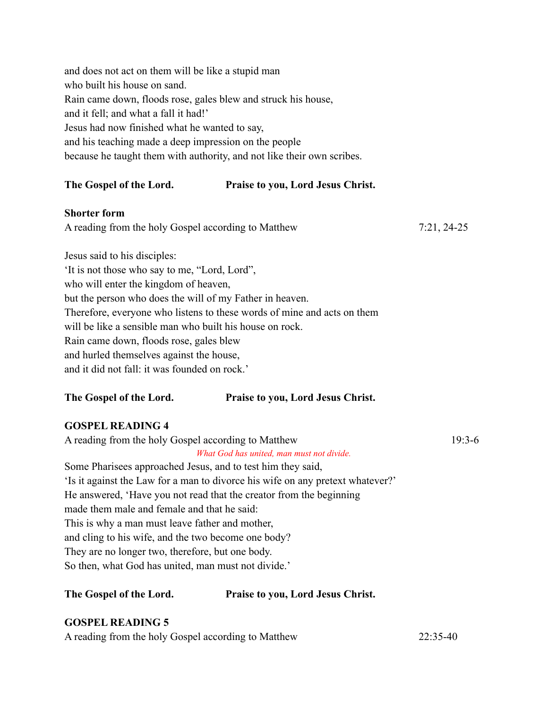and does not act on them will be like a stupid man who built his house on sand. Rain came down, floods rose, gales blew and struck his house, and it fell; and what a fall it had!' Jesus had now finished what he wanted to say, and his teaching made a deep impression on the people because he taught them with authority, and not like their own scribes.

# **The Gospel of the Lord. Praise to you, Lord Jesus Christ.**

## **Shorter form**

A reading from the holy Gospel according to Matthew 7:21, 24-25

Jesus said to his disciples: 'It is not those who say to me, "Lord, Lord", who will enter the kingdom of heaven, but the person who does the will of my Father in heaven. Therefore, everyone who listens to these words of mine and acts on them will be like a sensible man who built his house on rock. Rain came down, floods rose, gales blew and hurled themselves against the house, and it did not fall: it was founded on rock.'

# **The Gospel of the Lord. Praise to you, Lord Jesus Christ.**

# **GOSPEL READING 4**

| A reading from the holy Gospel according to Matthew                            | $19:3-6$ |
|--------------------------------------------------------------------------------|----------|
| What God has united, man must not divide.                                      |          |
| Some Pharisees approached Jesus, and to test him they said,                    |          |
| 'Is it against the Law for a man to divorce his wife on any pretext whatever?' |          |
| He answered, 'Have you not read that the creator from the beginning            |          |
| made them male and female and that he said:                                    |          |
| This is why a man must leave father and mother,                                |          |
| and cling to his wife, and the two become one body?                            |          |

They are no longer two, therefore, but one body.

So then, what God has united, man must not divide.'

# **The Gospel of the Lord. Praise to you, Lord Jesus Christ.**

# **GOSPEL READING 5**

A reading from the holy Gospel according to Matthew 22:35-40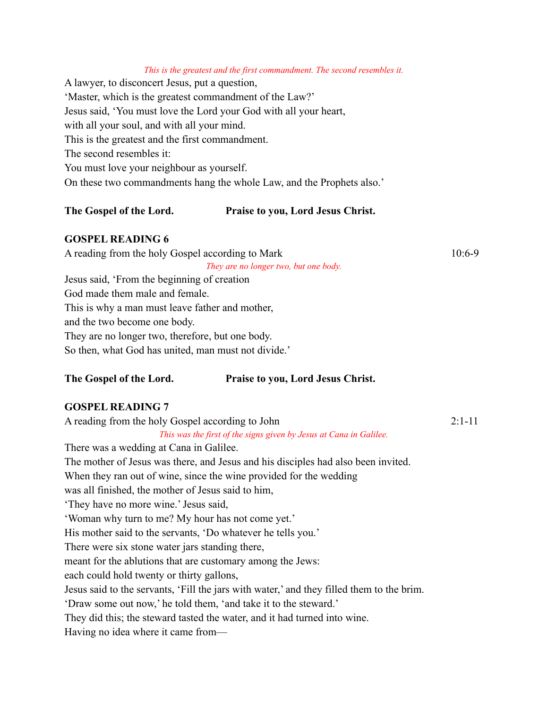#### *This is the greatest and the first commandment. The second resembles it.*

A lawyer, to disconcert Jesus, put a question, 'Master, which is the greatest commandment of the Law?' Jesus said, 'You must love the Lord your God with all your heart, with all your soul, and with all your mind. This is the greatest and the first commandment. The second resembles it: You must love your neighbour as yourself. On these two commandments hang the whole Law, and the Prophets also.'

#### **The Gospel of the Lord. Praise to you, Lord Jesus Christ.**

#### **GOSPEL READING 6**

| A reading from the holy Gospel according to Mark    | $10:6-9$ |
|-----------------------------------------------------|----------|
| They are no longer two, but one body.               |          |
| Jesus said, 'From the beginning of creation         |          |
| God made them male and female.                      |          |
| This is why a man must leave father and mother,     |          |
| and the two become one body.                        |          |
| They are no longer two, therefore, but one body.    |          |
| So then, what God has united, man must not divide.' |          |

#### **The Gospel of the Lord. Praise to you, Lord Jesus Christ.**

#### **GOSPEL READING 7**

A reading from the holy Gospel according to John 2:1-11 *This was the first of the signs given by Jesus at Cana in Galilee.* There was a wedding at Cana in Galilee. The mother of Jesus was there, and Jesus and his disciples had also been invited. When they ran out of wine, since the wine provided for the wedding was all finished, the mother of Jesus said to him, 'They have no more wine.' Jesus said, 'Woman why turn to me? My hour has not come yet.' His mother said to the servants, 'Do whatever he tells you.' There were six stone water jars standing there, meant for the ablutions that are customary among the Jews: each could hold twenty or thirty gallons, Jesus said to the servants, 'Fill the jars with water,' and they filled them to the brim.

'Draw some out now,' he told them, 'and take it to the steward.'

They did this; the steward tasted the water, and it had turned into wine.

Having no idea where it came from—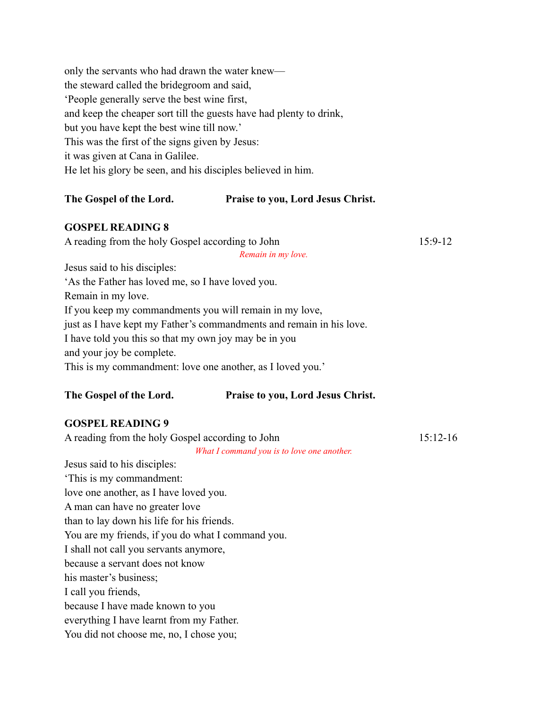only the servants who had drawn the water knew the steward called the bridegroom and said, 'People generally serve the best wine first, and keep the cheaper sort till the guests have had plenty to drink, but you have kept the best wine till now.' This was the first of the signs given by Jesus: it was given at Cana in Galilee. He let his glory be seen, and his disciples believed in him.

# **The Gospel of the Lord. Praise to you, Lord Jesus Christ.**

## **GOSPEL READING 8**

*Remain in my love.*

A reading from the holy Gospel according to John 15:9-12

Jesus said to his disciples: 'As the Father has loved me, so I have loved you. Remain in my love. If you keep my commandments you will remain in my love, just as I have kept my Father's commandments and remain in his love. I have told you this so that my own joy may be in you and your joy be complete. This is my commandment: love one another, as I loved you.'

# **The Gospel of the Lord. Praise to you, Lord Jesus Christ.**

# **GOSPEL READING 9**

| A reading from the holy Gospel according to John  | $15:12-16$ |
|---------------------------------------------------|------------|
| What I command you is to love one another.        |            |
| Jesus said to his disciples:                      |            |
| This is my commandment:                           |            |
| love one another, as I have loved you.            |            |
| A man can have no greater love                    |            |
| than to lay down his life for his friends.        |            |
| You are my friends, if you do what I command you. |            |
| I shall not call you servants anymore,            |            |
| because a servant does not know                   |            |
| his master's business;                            |            |
| I call you friends,                               |            |
| because I have made known to you                  |            |
| everything I have learnt from my Father.          |            |
| You did not choose me, no, I chose you;           |            |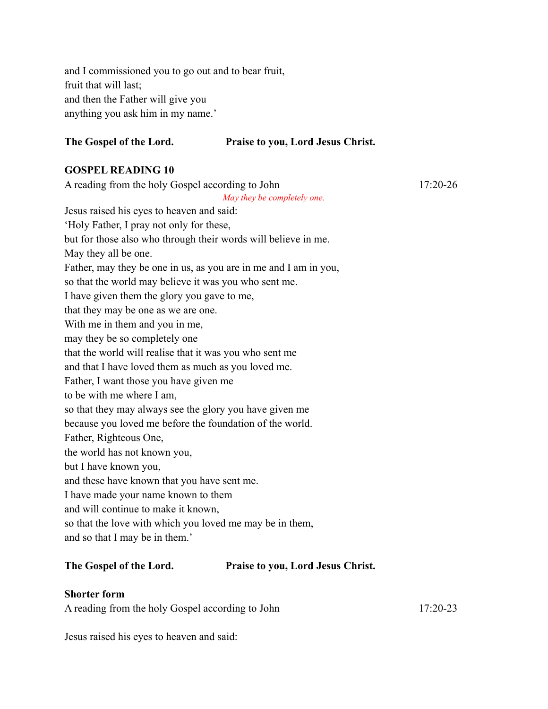and I commissioned you to go out and to bear fruit, fruit that will last; and then the Father will give you anything you ask him in my name.'

### **The Gospel of the Lord. Praise to you, Lord Jesus Christ.**

## **GOSPEL READING 10**

A reading from the holy Gospel according to John 17:20-26 *May they be completely one.* Jesus raised his eyes to heaven and said: 'Holy Father, I pray not only for these, but for those also who through their words will believe in me. May they all be one. Father, may they be one in us, as you are in me and I am in you, so that the world may believe it was you who sent me. I have given them the glory you gave to me, that they may be one as we are one. With me in them and you in me, may they be so completely one that the world will realise that it was you who sent me and that I have loved them as much as you loved me. Father, I want those you have given me to be with me where I am, so that they may always see the glory you have given me because you loved me before the foundation of the world. Father, Righteous One, the world has not known you, but I have known you, and these have known that you have sent me. I have made your name known to them and will continue to make it known, so that the love with which you loved me may be in them, and so that I may be in them.'

# **The Gospel of the Lord. Praise to you, Lord Jesus Christ.**

### **Shorter form**

A reading from the holy Gospel according to John 17:20-23

Jesus raised his eyes to heaven and said: